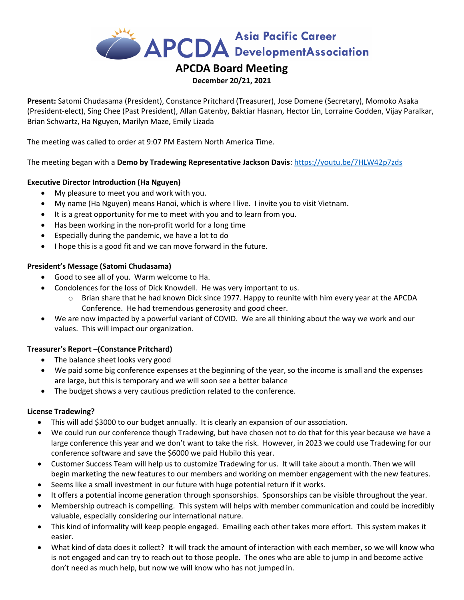

# APCDA Board Meeting

#### December 20/21, 2021

Present: Satomi Chudasama (President), Constance Pritchard (Treasurer), Jose Domene (Secretary), Momoko Asaka (President-elect), Sing Chee (Past President), Allan Gatenby, Baktiar Hasnan, Hector Lin, Lorraine Godden, Vijay Paralkar, Brian Schwartz, Ha Nguyen, Marilyn Maze, Emily Lizada

The meeting was called to order at 9:07 PM Eastern North America Time.

The meeting began with a Demo by Tradewing Representative Jackson Davis: https://youtu.be/7HLW42p7zds

# Executive Director Introduction (Ha Nguyen)

- My pleasure to meet you and work with you.
- My name (Ha Nguyen) means Hanoi, which is where I live. I invite you to visit Vietnam.
- It is a great opportunity for me to meet with you and to learn from you.
- Has been working in the non-profit world for a long time
- Especially during the pandemic, we have a lot to do
- I hope this is a good fit and we can move forward in the future.

# President's Message (Satomi Chudasama)

- Good to see all of you. Warm welcome to Ha.
- Condolences for the loss of Dick Knowdell. He was very important to us.
	- $\circ$  Brian share that he had known Dick since 1977. Happy to reunite with him every year at the APCDA Conference. He had tremendous generosity and good cheer.
- We are now impacted by a powerful variant of COVID. We are all thinking about the way we work and our values. This will impact our organization.

# Treasurer's Report –(Constance Pritchard)

- The balance sheet looks very good
- We paid some big conference expenses at the beginning of the year, so the income is small and the expenses are large, but this is temporary and we will soon see a better balance
- The budget shows a very cautious prediction related to the conference.

#### License Tradewing?

- This will add \$3000 to our budget annually. It is clearly an expansion of our association.
- We could run our conference though Tradewing, but have chosen not to do that for this year because we have a large conference this year and we don't want to take the risk. However, in 2023 we could use Tradewing for our conference software and save the \$6000 we paid Hubilo this year.
- Customer Success Team will help us to customize Tradewing for us. It will take about a month. Then we will begin marketing the new features to our members and working on member engagement with the new features.
- Seems like a small investment in our future with huge potential return if it works.
- It offers a potential income generation through sponsorships. Sponsorships can be visible throughout the year.
- Membership outreach is compelling. This system will helps with member communication and could be incredibly valuable, especially considering our international nature.
- This kind of informality will keep people engaged. Emailing each other takes more effort. This system makes it easier.
- What kind of data does it collect? It will track the amount of interaction with each member, so we will know who is not engaged and can try to reach out to those people. The ones who are able to jump in and become active don't need as much help, but now we will know who has not jumped in.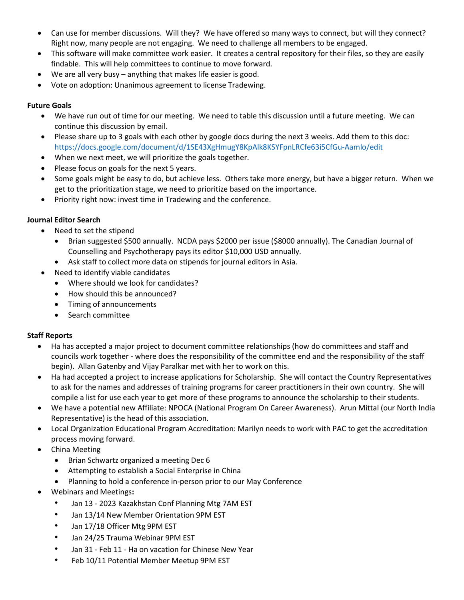- Can use for member discussions. Will they? We have offered so many ways to connect, but will they connect? Right now, many people are not engaging. We need to challenge all members to be engaged.
- This software will make committee work easier. It creates a central repository for their files, so they are easily findable. This will help committees to continue to move forward.
- We are all very busy anything that makes life easier is good.
- Vote on adoption: Unanimous agreement to license Tradewing.

# Future Goals

- We have run out of time for our meeting. We need to table this discussion until a future meeting. We can continue this discussion by email.
- Please share up to 3 goals with each other by google docs during the next 3 weeks. Add them to this doc: https://docs.google.com/document/d/1SE43XgHmugY8KpAlk8KSYFpnLRCfe63i5CfGu-Aamlo/edit
- When we next meet, we will prioritize the goals together.
- Please focus on goals for the next 5 years.
- Some goals might be easy to do, but achieve less. Others take more energy, but have a bigger return. When we get to the prioritization stage, we need to prioritize based on the importance.
- Priority right now: invest time in Tradewing and the conference.

# Journal Editor Search

- Need to set the stipend
	- Brian suggested \$500 annually. NCDA pays \$2000 per issue (\$8000 annually). The Canadian Journal of Counselling and Psychotherapy pays its editor \$10,000 USD annually.
	- Ask staff to collect more data on stipends for journal editors in Asia.
- Need to identify viable candidates
	- Where should we look for candidates?
	- How should this be announced?
	- Timing of announcements
	- Search committee

# Staff Reports

- Ha has accepted a major project to document committee relationships (how do committees and staff and councils work together - where does the responsibility of the committee end and the responsibility of the staff begin). Allan Gatenby and Vijay Paralkar met with her to work on this.
- Ha had accepted a project to increase applications for Scholarship. She will contact the Country Representatives to ask for the names and addresses of training programs for career practitioners in their own country. She will compile a list for use each year to get more of these programs to announce the scholarship to their students.
- We have a potential new Affiliate: NPOCA (National Program On Career Awareness). Arun Mittal (our North India Representative) is the head of this association.
- Local Organization Educational Program Accreditation: Marilyn needs to work with PAC to get the accreditation process moving forward.
- China Meeting
	- Brian Schwartz organized a meeting Dec 6
	- Attempting to establish a Social Enterprise in China
	- Planning to hold a conference in-person prior to our May Conference
- Webinars and Meetings:
	- Jan 13 2023 Kazakhstan Conf Planning Mtg 7AM EST
	- Jan 13/14 New Member Orientation 9PM EST
	- Jan 17/18 Officer Mtg 9PM EST
	- Jan 24/25 Trauma Webinar 9PM EST
	- Jan 31 Feb 11 Ha on vacation for Chinese New Year
	- Feb 10/11 Potential Member Meetup 9PM EST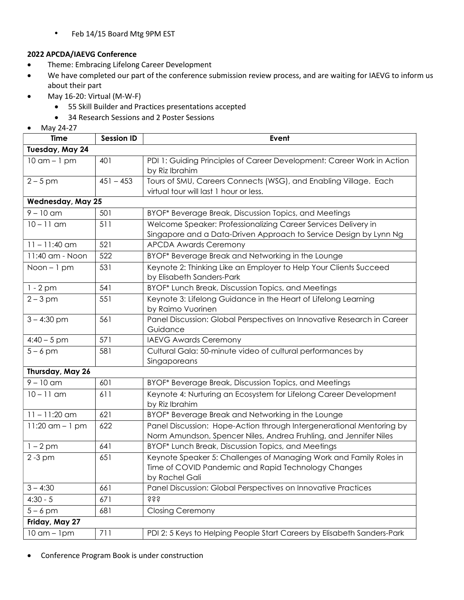• Feb 14/15 Board Mtg 9PM EST

## 2022 APCDA/IAEVG Conference

- **•** Theme: Embracing Lifelong Career Development
- We have completed our part of the conference submission review process, and are waiting for IAEVG to inform us about their part
- May 16-20: Virtual (M-W-F)
	- 55 Skill Builder and Practices presentations accepted
	- 34 Research Sessions and 2 Poster Sessions
- May 24-27

| <b>Time</b>              | <b>Session ID</b> | Event                                                                                    |
|--------------------------|-------------------|------------------------------------------------------------------------------------------|
| Tuesday, May 24          |                   |                                                                                          |
| $10$ am $-1$ pm          | 401               | PDI 1: Guiding Principles of Career Development: Career Work in Action<br>by Riz Ibrahim |
| $2 - 5$ pm               | $451 - 453$       | Tours of SMU, Careers Connects (WSG), and Enabling Village. Each                         |
|                          |                   | virtual tour will last 1 hour or less.                                                   |
| <b>Wednesday, May 25</b> |                   |                                                                                          |
| $9 - 10$ am              | 501               | BYOF* Beverage Break, Discussion Topics, and Meetings                                    |
| $10 - 11$ am             | 511               | Welcome Speaker: Professionalizing Career Services Delivery in                           |
|                          |                   | Singapore and a Data-Driven Approach to Service Design by Lynn Ng                        |
| $11 - 11:40$ am          | 521               | <b>APCDA Awards Ceremony</b>                                                             |
| 11:40 am - Noon          | 522               | BYOF* Beverage Break and Networking in the Lounge                                        |
| $Noon - 1 pm$            | 531               | Keynote 2: Thinking Like an Employer to Help Your Clients Succeed                        |
|                          |                   | by Elisabeth Sanders-Park                                                                |
| $1 - 2$ pm               | 541               | BYOF* Lunch Break, Discussion Topics, and Meetings                                       |
| $2 - 3$ pm               | 551               | Keynote 3: Lifelong Guidance in the Heart of Lifelong Learning                           |
|                          |                   | by Raimo Vuorinen                                                                        |
| $3 - 4:30$ pm            | 561               | Panel Discussion: Global Perspectives on Innovative Research in Career                   |
|                          |                   | Guidance                                                                                 |
| $4:40 - 5$ pm            | 571               | <b>IAEVG Awards Ceremony</b>                                                             |
| $5 - 6$ pm               | 581               | Cultural Gala: 50-minute video of cultural performances by                               |
|                          |                   | Singaporeans                                                                             |
| Thursday, May 26         |                   |                                                                                          |
| $9 - 10$ am              | 601               | BYOF* Beverage Break, Discussion Topics, and Meetings                                    |
| $10 - 11$ am             | 611               | Keynote 4: Nurturing an Ecosystem for Lifelong Career Development                        |
|                          |                   | by Riz Ibrahim                                                                           |
| $11 - 11:20$ am          | 621               | BYOF* Beverage Break and Networking in the Lounge                                        |
| $11:20$ am $-1$ pm       | 622               | Panel Discussion: Hope-Action through Intergenerational Mentoring by                     |
|                          |                   | Norm Amundson, Spencer Niles, Andrea Fruhling, and Jennifer Niles                        |
| $1 - 2$ pm               | 641               | BYOF* Lunch Break, Discussion Topics, and Meetings                                       |
| $2 - 3$ pm               | 651               | Keynote Speaker 5: Challenges of Managing Work and Family Roles in                       |
|                          |                   | Time of COVID Pandemic and Rapid Technology Changes                                      |
|                          |                   | by Rachel Gali                                                                           |
| $3 - 4:30$               | 661               | Panel Discussion: Global Perspectives on Innovative Practices                            |
| $4:30 - 5$               | 671               | <b>SSS</b>                                                                               |
| $5 - 6$ pm               | 681               | <b>Closing Ceremony</b>                                                                  |
| Friday, May 27           |                   |                                                                                          |
| $10$ am $-1$ pm          | 711               | PDI 2: 5 Keys to Helping People Start Careers by Elisabeth Sanders-Park                  |